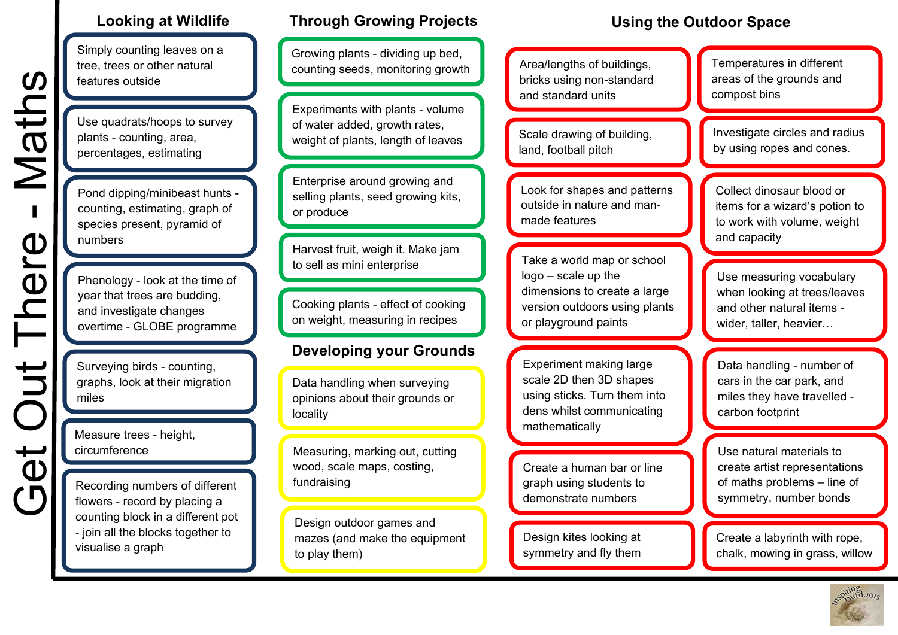Simply counting leaves on a tree, trees or other natural features outside

Use quadrats/hoops to survey plants - counting, area, percentages, estimating

Pond dipping/minibeast hunts counting, estimating, graph of species present, pyramid of numbers

Phenology - look at the time of year that trees are budding, and investigate changes overtime - GLOBE programme

Get Out There - Maths

**Get Out There** 

Maths

Surveying birds - counting, graphs, look at their migration miles

Measure trees - height, circumference

Recording numbers of different flowers - record by placing a counting block in a different pot - join all the blocks together to visualise a graph

# **Looking at Wildlife Through Growing Projects**

Growing plants - dividing up bed, counting seeds, monitoring growth  $\begin{bmatrix} 1 & 1 \\ 1 & 1 \end{bmatrix}$  Area/lengths of buildings,

Experiments with plants - volume of water added, growth rates, weight of plants, length of leaves

Enterprise around growing and selling plants, seed growing kits, or produce

Harvest fruit, weigh it. Make jam to sell as mini enterprise

Cooking plants - effect of cooking on weight, measuring in recipes

### **Developing your Grounds**

Data handling when surveying opinions about their grounds or localit y

 Measuring, marking out, cutting wood, scale maps, costing, fundraising

Design outdoor games and mazes (and make the equipment to play them)

# **Using the Outdoor Space**

bricks using non-standard and standard units

Scale drawing of building, land, football pitch

Look for shapes and patterns outside in nature and manmade features

Take a world map or school logo – scale up the dimensions to create a large version outdoors using plants or playground paints

Experiment making large scale 2D then 3D shapes using sticks. Turn them into dens whilst communicating mathematically

Create a human bar or line graph using students to demonstrate numbers

Design kites looking at symmetry and fly them

Temperatures in different areas of the grounds and compost bins

Investigate circles and radius by using ropes and cones.

Collect dinosaur blood or items for a wizard's potion to to work with volume, weight and capacity

Use measuring vocabulary when looking at trees/leaves and other natural items wider, taller, heavier…

Data handling - number of cars in the car park, and miles they have travelled carbon footprint

Use natural materials to create artist representations of maths problems – line of symmetry, number bonds

Create a labyrinth with rope, chalk, mowing in grass, willow

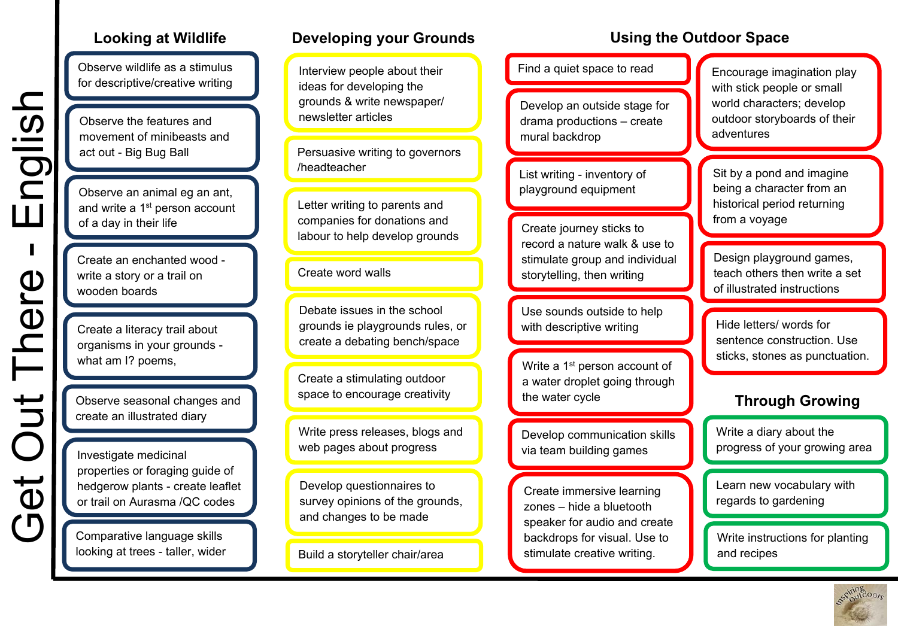Observe wildlife as a stimulus for descriptive/creative writing

Observe the features and movement of minibeasts and act out - Big Bug Ball

Observe an animal eg an ant, and write a 1<sup>st</sup> person account of a da y in their life

Create an enchanted wood write a story or a trail on wooden boards

Get Out There - English

There

 $\frac{1}{2}$ 

 $\overline{\mathbf{\theta}}$ 

nglish

 $\mathbf{L}$ 

Create a literacy trail about organisms in your grounds what am I? poems,

Observe seasonal changes and create an illustrated diary

Investigate medicinal properties or foraging guide of hedgerow plants - create leaflet or trail on Aurasma /QC codes

Comparative language skills looking at trees - taller, wider

### **Looking at Wildlife Developing your Grounds Using the Outdoor Space**

Interview people about their ideas for developing the grounds & write newspaper/ newsletter articles

Persuasive writing to governors /headteacher

Letter writing to parents and companies for donations and labour to help develop grounds

### Create word walls

Debate issues in the school grounds ie playgrounds rules, or create a debating bench/space

Create a stimulating outdoor space to encourage creativity

Write press releases, blogs and web pages about progress

Develop questionnaires to survey opinions of the grounds, and changes to be made

Build a storyteller chair/area

Find a quiet space to read

Develop an outside stage for drama productions – create mural backdrop

List writing - inventory of playground equipment

Create journey sticks to record a nature walk & use to stimulate group and individual storytelling, then writing

Use sounds outside to help with descriptive writing

Write a 1<sup>st</sup> person account of a water droplet going through the water cycle

Develop communication skills via team building games

Create immersive learning zones – hide a bluetooth speaker for audio and create backdrops for visual. Use to stimulate creative writing.

Encourage imagination play with stick people or small world characters; develop outdoor storyboards of their adventures

Sit by a pond and imagine being a character from an historical period returning from a voyage

Design playground games, teach others then write a set of illustrated instructions

Hide letters/ words for sentence construction. Use sticks, stones as punctuation.

# **Through Growing**

Write a diary about the progress of your growing area

Learn new vocabulary with regards to gardening

Write instructions for planting and recipes

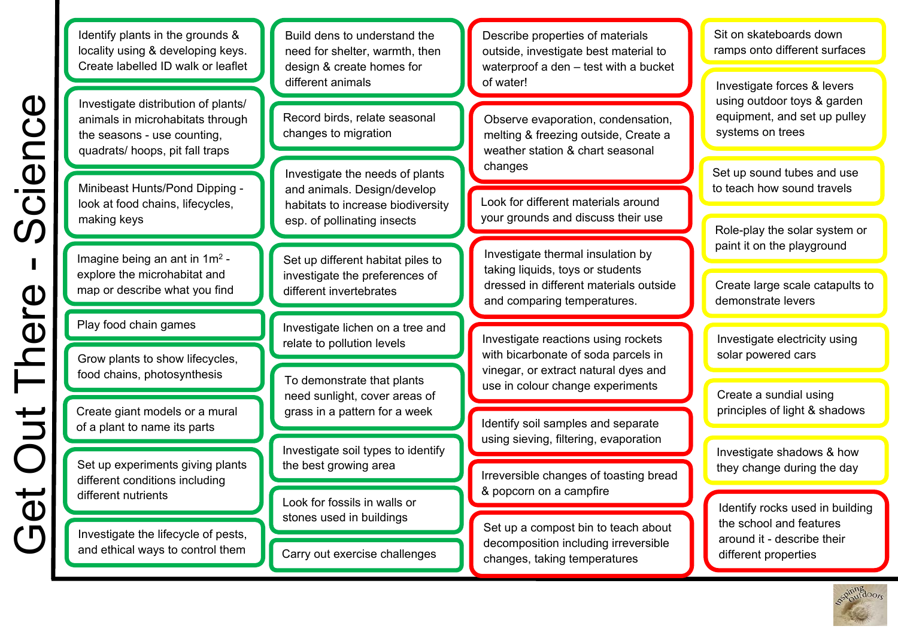Identify plants in the grounds & locality using & developing keys. Create labelled ID walk or leaflet

Investigate distribution of plants/ animals in microhabitats through the seasons - use counting, quadrats/ hoops, pit fall traps

p or describe what you find

Play food chain games

Create giant models or a mural of a plant to name its parts

Set up experiments giving plants different conditions including different nutrients

Investigate the lifecycle of pests, and ethical ways to control them

Build dens to understand the need for shelter, warmth, then design & create homes for different animals

Record birds, relate seasonal changes to migration

Investigate the needs of plants and animals. Design/develop habitats to increase biodiversity esp. of pollinating insects

Set up different habitat piles to investigate the preferences of different invertebrates

Investigate lichen on a tree and relate to pollution levels

To demonstrate that plants need sunlight, cover areas of grass in a pattern for a week

Look for fossils in walls or stones used in buildings

Carry out exercise challenges

Describe properties of materials outside, investigate best material to waterproof a den – test with a bucket of water!

antimals in microfiable the mediator of plants in microfiable and the seasons - use counting.<br>
The seasons - use counting.<br>
The seasons - use counting.<br>
Minbeast Hunsingheon Dipping -<br>
Mindbeast Hunsing-Rond Dipping -<br>
Min Observe evaporation, condensation, melting & freezing outside, Create a weather station & chart seasonal changes

Look for different materials around your grounds and discuss their use

Investigate thermal insulation by taking liquids, toys or students dressed in different materials outside and comparing temperatures.

Identify soil samples and separate using sieving, filtering, evaporation

Irreversible changes of toasting bread & p o pcorn on a cam pfire

Set up a compost bin to teach about decomposition including irreversible changes, taking temperatures

Sit on skateboards down ramps onto different surfaces

Investigate forces & levers using outdoor toys & garden equipment, and set up pulley systems on trees

Set up sound tubes and use to teach how sound travels

Role-play the solar system or paint it on the playground

Create large scale catapults to demonstrate levers

Investigate electricity using solar powered cars

Create a sundial using principles of light & shadows

Investigate shadows & how they change during the day

Identify rocks used in building the school and features around it - describe their different properties

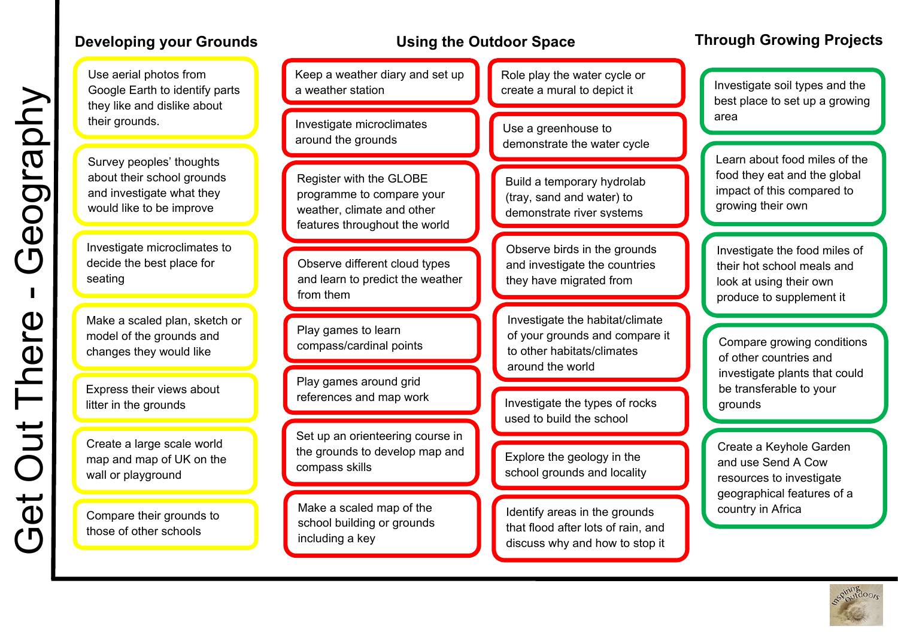Use aerial photos from Google Earth to identify parts they like and dislike about their grounds.

Survey peoples' thoughts about their school grounds and investigate what they would like to be improve

Investigate microclimates to decide the best place for seating

Get Out There - Geography

There

Out<sup>-</sup>

 $\vec{\theta}$ 

 $\overline{C}$ 

Seography

Make a scaled plan, sketch or model of the grounds and changes they would like

Express their views about litter in the grounds

Create a large scale world map and map of UK on the wall or playground

Compare their grounds to those of other schools

Keep a weather diary and set up a weather station

Investigate microclimates around the grounds

Register with the GLOBE programme to compare your weather, climate and other features throughout the world

Observe different cloud types and learn to predict the weather from them

Play games to learn compass/cardinal points

Play games around grid references and map work

Set up an orienteering course in the grounds to develop map and compass skills

Make a scaled map of the school building or grounds including a key

Role play the water cycle or create a mural to depict it

Use a greenhouse to demonstrate the water cycle

Build a temporary hydrolab (tray, sand and water) to demonstrate river systems

Observe birds in the grounds and investigate the countries they have migrated from

Investigate the habitat/climate of your grounds and compare it to other habitats/climates around the world

Investigate the types of rocks used to build the school

Explore the geology in the school grounds and locality

Identify areas in the grounds that flood after lots of rain, and discuss why and how to stop it

# **Developing your Grounds Through Grounds** Using the Outdoor Space Through Growing Projects

Investigate soil types and the best place to set up a growing area

Learn about food miles of the food they eat and the global impact of this compared to growing their own

Investigate the food miles of their hot school meals and look at using their own produce to supplement it

Compare growing conditions of other countries and investigate plants that could be transferable to your grounds

Create a Keyhole Garden and use Send A Cow resources to investigate geographical features of a country in Africa

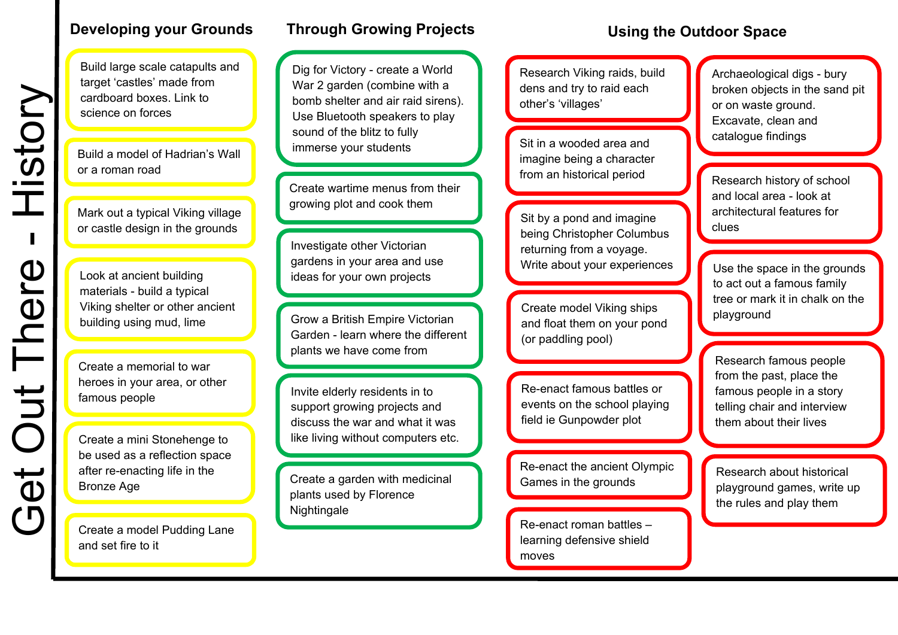Build large scale catapults and target 'castles' made from cardboard boxes. Link to science on forces

Build a model of Hadrian's Wall or a roman road

Mark out a typical Viking village or castle design in the grounds

Look at ancient building materials - build a typical Viking shelter or other ancient building using mud, lime

Create a memorial to war heroes in your area, or other famous people

Create a mini Stonehenge to be used as a reflection space after re-enacting life in the

Create a model Pudding Lane and set fire to it

## **Developing your Grounds Through Growing Projects Construent Controller Cutdoor Space**

Dig for Victory - create a World War 2 garden (combine with a bomb shelter and air raid sirens). Use Bluetooth speakers to play sound of the blitz to fully immerse your students

Create wartime menus from their growing plot and cook them

Investigate other Victorian gardens in your area and use ideas for your own projects

Grow a British Empire Victorian Garden - learn where the different plants we have come from

Invite elderly residents in to support growing projects and discuss the war and what it was like living without computers etc.

Bronze Age **Create a garden with medicinal** plants used by Florence Nightingale

Research Viking raids, build dens and try to raid each other's 'villages'

Sit in a wooded area and imagine being a character from an historical period

Sit by a pond and imagine being Christopher Columbus returning from a voyage. Write about your experiences

Create model Viking ships and float them on your pond (or paddling pool)

Re-enact famous battles or events on the school playing field ie Gunpowder plot

Re-enact the ancient Olympic Games in the grounds

Re-enact roman battles – learning defensive shield moves

Archaeological digs - bury broken objects in the sand pit or on waste ground. Excavate, clean and catalogue findings

Research history of school and local area - look at architectural features for clues

Use the space in the grounds to act out a famous family tree or mark it in chalk on the playground

Research famous people from the past, place the famous people in a story telling chair and interview them about their lives

Research about historical playground games, write up the rules and play them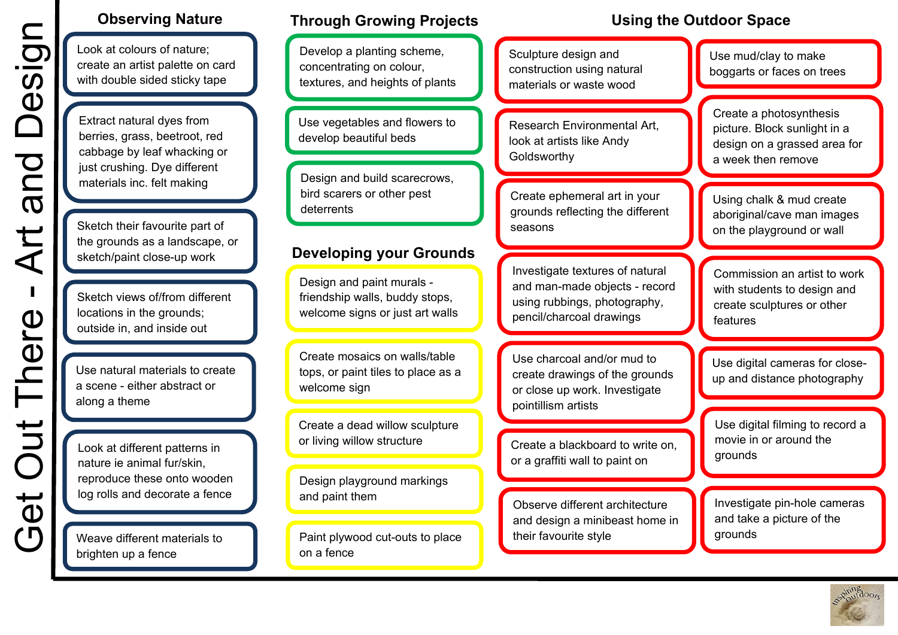y ta pe

Extract natural dyes from berries, grass, beetroot, red cabbage by leaf whacking or just crushing. Dye different materials inc. felt making

Sketch their favourite part of the grounds as a landscape, or sketch/ paint close-u p work

Sketch views of/from different locations in the grounds; outside in, and inside out

Use natural materials to create a scene - either abstract or along a theme

Weave different materials to brighten up a fence

Use vegetables and flowers to develop beautiful beds

Design and build scarecrows, bird scarers or other pest deterrents

Design and paint murals friendship walls, buddy stops, welcome signs or just art walls

Create mosaics on walls/table tops, or paint tiles to place as a welcome si g n

Design playground markings and paint them

Research Environmental Art, look at artists like Andy **Goldsworthv** 

Create ephemeral art in your grounds reflecting the different seasons

Observe different architecture and design a minibeast home in their favourite style

Using chalk & mud create aboriginal/cave man images on the playground or wall

Commission an artist to work with students to design and create sculptures or other features

Use digital cameras for closeup and distance photography

Use digital filming to record a movie in or around the grounds